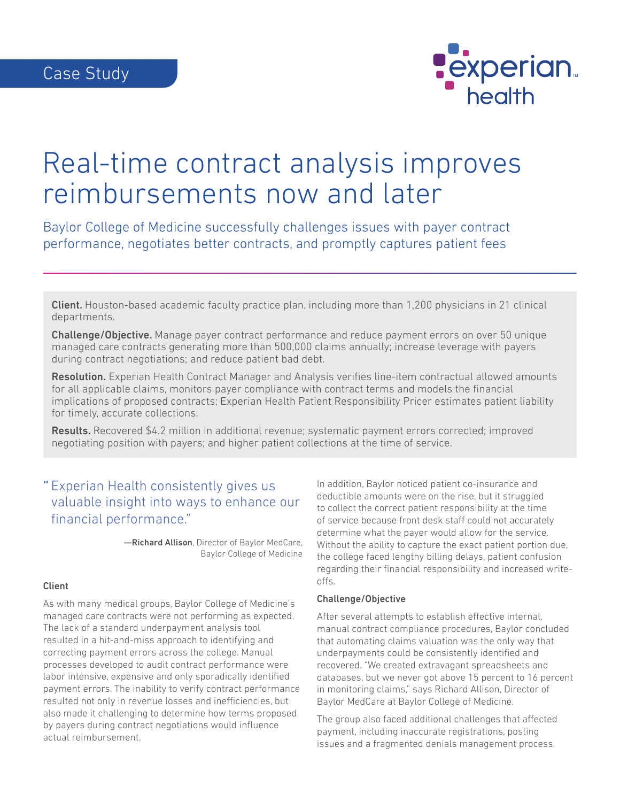

# Real-time contract analysis improves reimbursements now and later

Baylor College of Medicine successfully challenges issues with payer contract performance, negotiates better contracts, and promptly captures patient fees

Client. Houston-based academic faculty practice plan, including more than 1,200 physicians in 21 clinical departments.

Challenge/Objective. Manage payer contract performance and reduce payment errors on over 50 unique managed care contracts generating more than 500,000 claims annually; increase leverage with payers during contract negotiations; and reduce patient bad debt.

Resolution. Experian Health Contract Manager and Analysis verifies line-item contractual allowed amounts for all applicable claims, monitors payer compliance with contract terms and models the financial implications of proposed contracts; Experian Health Patient Responsibility Pricer estimates patient liability for timely, accurate collections.

Results. Recovered \$4.2 million in additional revenue; systematic payment errors corrected; improved negotiating position with payers; and higher patient collections at the time of service.

## " Experian Health consistently gives us valuable insight into ways to enhance our financial performance."

—Richard Allison, Director of Baylor MedCare, Baylor College of Medicine

#### Client

As with many medical groups, Baylor College of Medicine's managed care contracts were not performing as expected. The lack of a standard underpayment analysis tool resulted in a hit-and-miss approach to identifying and correcting payment errors across the college. Manual processes developed to audit contract performance were labor intensive, expensive and only sporadically identified payment errors. The inability to verify contract performance resulted not only in revenue losses and inefficiencies, but also made it challenging to determine how terms proposed by payers during contract negotiations would influence actual reimbursement.

In addition, Baylor noticed patient co-insurance and deductible amounts were on the rise, but it struggled to collect the correct patient responsibility at the time of service because front desk staff could not accurately determine what the payer would allow for the service. Without the ability to capture the exact patient portion due, the college faced lengthy billing delays, patient confusion regarding their financial responsibility and increased writeoffs.

#### Challenge/Objective

After several attempts to establish effective internal, manual contract compliance procedures, Baylor concluded that automating claims valuation was the only way that underpayments could be consistently identified and recovered. "We created extravagant spreadsheets and databases, but we never got above 15 percent to 16 percent in monitoring claims," says Richard Allison, Director of Baylor MedCare at Baylor College of Medicine.

The group also faced additional challenges that affected payment, including inaccurate registrations, posting issues and a fragmented denials management process.